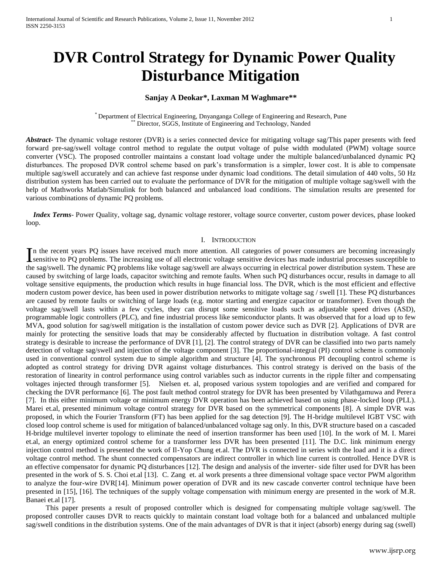# **DVR Control Strategy for Dynamic Power Quality Disturbance Mitigation**

# **Sanjay A Deokar\*, Laxman M Waghmare\*\***

\* Department of Electrical Engineering, Dnyanganga College of Engineering and Research, Pune \*\* Director, SGGS, Institute of Engineering and Technology, Nanded

*Abstract***-** The dynamic voltage restorer (DVR) is a series connected device for mitigating voltage sag/This paper presents with feed forward pre-sag/swell voltage control method to regulate the output voltage of pulse width modulated (PWM) voltage source converter (VSC). The proposed controller maintains a constant load voltage under the multiple balanced/unbalanced dynamic PQ disturbances. The proposed DVR control scheme based on park's transformation is a simpler, lower cost. It is able to compensate multiple sag/swell accurately and can achieve fast response under dynamic load conditions. The detail simulation of 440 volts, 50 Hz distribution system has been carried out to evaluate the performance of DVR for the mitigation of multiple voltage sag/swell with the help of Mathworks Matlab/Simulink for both balanced and unbalanced load conditions. The simulation results are presented for various combinations of dynamic PQ problems.

 *Index Terms*- Power Quality, voltage sag, dynamic voltage restorer, voltage source converter, custom power devices, phase looked loop.

#### I. INTRODUCTION

n the recent years PQ issues have received much more attention. All categories of power consumers are becoming increasingly In the recent years PQ issues have received much more attention. All categories of power consumers are becoming increasingly sensitive to PQ problems. The increasing use of all electronic voltage sensitive devices has made the sag/swell. The dynamic PQ problems like voltage sag/swell are always occurring in electrical power distribution system. These are caused by switching of large loads, capacitor switching and remote faults. When such PQ disturbances occur, results in damage to all voltage sensitive equipments, the production which results in huge financial loss. The DVR, which is the most efficient and effective modern custom power device, has been used in power distribution networks to mitigate voltage sag / swell [1]. These PQ disturbances are caused by remote faults or switching of large loads (e.g. motor starting and energize capacitor or transformer). Even though the voltage sag/swell lasts within a few cycles, they can disrupt some sensitive loads such as adjustable speed drives (ASD), programmable logic controllers (PLC), and fine industrial process like semiconductor plants. It was observed that for a load up to few MVA, good solution for sag/swell mitigation is the installation of custom power device such as DVR [2]. Applications of DVR are mainly for protecting the sensitive loads that may be considerably affected by fluctuation in distribution voltage. A fast control strategy is desirable to increase the performance of DVR [1], [2]. The control strategy of DVR can be classified into two parts namely detection of voltage sag/swell and injection of the voltage component [3]. The proportional-integral (PI) control scheme is commonly used in conventional control system due to simple algorithm and structure [4]. The synchronous PI decoupling control scheme is adopted as control strategy for driving DVR against voltage disturbances. This control strategy is derived on the basis of the restoration of linearity in control performance using control variables such as inductor currents in the ripple filter and compensating voltages injected through transformer [5]. Nielsen et. al, proposed various system topologies and are verified and compared for checking the DVR performance [6]. The post fault method control strategy for DVR has been presented by Vilathgamuwa and Perera [7]. In this either minimum voltage or minimum energy DVR operation has been achieved based on using phase-locked loop (PLL). Marei et.al, presented minimum voltage control strategy for DVR based on the symmetrical components [8]. A simple DVR was proposed, in which the Fourier Transform (FT) has been applied for the sag detection [9]. The H-bridge multilevel IGBT VSC with closed loop control scheme is used for mitigation of balanced/unbalanced voltage sag only. In this, DVR structure based on a cascaded H-bridge multilevel inverter topology to eliminate the need of insertion transformer has been used [10]. In the work of M. I. Marei et.al, an energy optimized control scheme for a transformer less DVR has been presented [11]. The D.C. link minimum energy injection control method is presented the work of Il-Yop Chung et.al. The DVR is connected in series with the load and it is a direct voltage control method. The shunt connected compensators are indirect controller in which line current is controlled. Hence DVR is an effective compensator for dynamic PQ disturbances [12]. The design and analysis of the inverter- side filter used for DVR has been presented in the work of S. S. Choi et.al [13]. C. Zang et. al work presents a three dimensional voltage space vector PWM algorithm to analyze the four-wire DVR[14]. Minimum power operation of DVR and its new cascade converter control technique have been presented in [15], [16]. The techniques of the supply voltage compensation with minimum energy are presented in the work of M.R. Banaei et.al [17].

 This paper presents a result of proposed controller which is designed for compensating multiple voltage sag/swell. The proposed controller causes DVR to reacts quickly to maintain constant load voltage both for a balanced and unbalanced multiple sag/swell conditions in the distribution systems. One of the main advantages of DVR is that it inject (absorb) energy during sag (swell)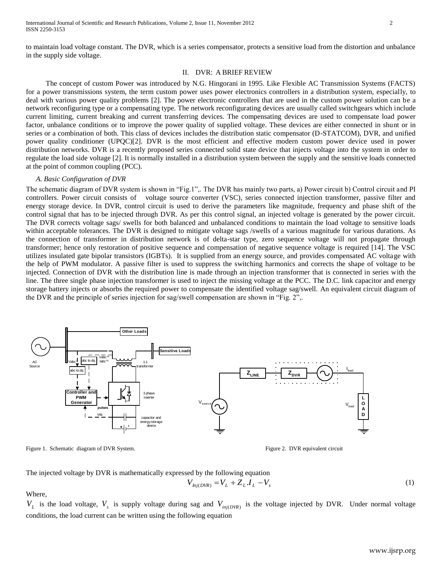#### II. DVR: A BRIEF REVIEW

 The concept of custom Power was introduced by N.G. Hingorani in 1995. Like Flexible AC Transmission Systems (FACTS) for a power transmissions system, the term custom power uses power electronics controllers in a distribution system, especially, to deal with various power quality problems [2]. The power electronic controllers that are used in the custom power solution can be a network reconfiguring type or a compensating type. The network reconfigurating devices are usually called switchgears which include current limiting, current breaking and current transferring devices. The compensating devices are used to compensate load power factor, unbalance conditions or to improve the power quality of supplied voltage. These devices are either connected in shunt or in series or a combination of both. This class of devices includes the distribution static compensator (D-STATCOM), DVR, and unified power quality conditioner (UPQC)[2]. DVR is the most efficient and effective modern custom power device used in power distribution networks. DVR is a recently proposed series connected solid state device that injects voltage into the system in order to regulate the load side voltage [2]. It is normally installed in a distribution system between the supply and the sensitive loads connected at the point of common coupling (PCC).

#### *A. Basic Configuration of DVR*

The schematic diagram of DVR system is shown in "Fig.1",. The DVR has mainly two parts, a) Power circuit b) Control circuit and PI controllers. Power circuit consists of voltage source converter (VSC), series connected injection transformer, passive filter and energy storage device. In DVR, control circuit is used to derive the parameters like magnitude, frequency and phase shift of the control signal that has to be injected through DVR. As per this control signal, an injected voltage is generated by the power circuit. The DVR corrects voltage sags/ swells for both balanced and unbalanced conditions to maintain the load voltage to sensitive loads within acceptable tolerances. The DVR is designed to mitigate voltage sags /swells of a various magnitude for various durations. As the connection of transformer in distribution network is of delta-star type, zero sequence voltage will not propagate through transformer; hence only restoration of positive sequence and compensation of negative sequence voltage is required [14]. The VSC utilizes insulated gate bipolar transistors (IGBTs). It is supplied from an energy source, and provides compensated AC voltage with the help of PWM modulator. A passive filter is used to suppress the switching harmonics and corrects the shape of voltage to be injected. Connection of DVR with the distribution line is made through an injection transformer that is connected in series with the line. The three single phase injection transformer is used to inject the missing voltage at the PCC. The D.C. link capacitor and energy storage battery injects or absorbs the required power to compensate the identified voltage sag/swell. An equivalent circuit diagram of the DVR and the principle of series injection for sag/swell compensation are shown in "Fig. 2",.



Figure 1. Schematic diagram of DVR System. The state of the state of the Figure 2. DVR equivalent circuit

The injected voltage by DVR is mathematically expressed by the following equation

$$
V_{hj(DVR)} = V_L + Z_L I_L - V_s \tag{1}
$$

Where,

 $V_L$  is the load voltage,  $V_s$  is supply voltage during sag and  $V_{inj(DVR)}$  is the voltage injected by DVR. Under normal voltage conditions, the load current can be written using the following equation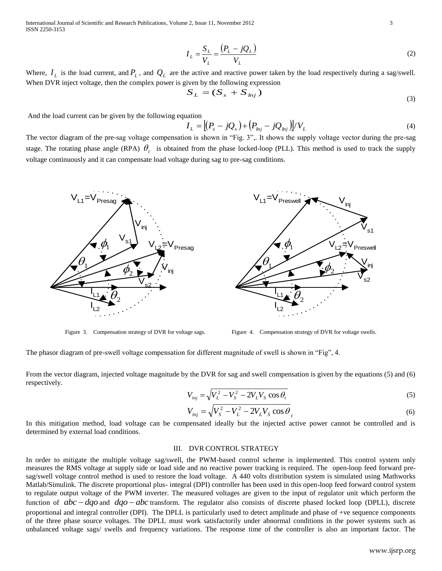International Journal of Scientific and Research Publications, Volume 2, Issue 11, November 2012 3 ISSN 2250-3153

$$
I_L = \frac{S_L}{V_L} = \frac{\left(P_L - jQ_L\right)}{V_L} \tag{2}
$$

Where,  $I_L$  is the load current, and  $P_L$ , and  $Q_L$  are the active and reactive power taken by the load respectively during a sag/swell. When DVR inject voltage, then the complex power is given by the following expression

$$
S_L = (S_s + S_{lnj})
$$
\n(3)

And the load current can be given by the following equation

$$
I_L = \left[ \left( P_s - jQ_s \right) + \left( P_{lnj} - jQ_{lnj} \right) \right] / V_L \tag{4}
$$

The vector diagram of the pre-sag voltage compensation is shown in "Fig. 3",. It shows the supply voltage vector during the pre-sag stage. The rotating phase angle (RPA)  $\theta_t$  is obtained from the phase locked-loop (PLL). This method is used to track the supply voltage continuously and it can compensate load voltage during sag to pre-sag conditions.



Figure 3. Compensation strategy of DVR for voltage sags. Figure 4. Compensation strategy of DVR for voltage swells.

The phasor diagram of pre-swell voltage compensation for different magnitude of swell is shown in "Fig", 4.

From the vector diagram, injected voltage magnitude by the DVR for sag and swell compensation is given by the equations (5) and (6) respectively.

$$
V_{inj} = \sqrt{V_L^2 - V_S^2 - 2V_L V_S \cos \theta_t}
$$
 (5)

$$
V_{inj} = \sqrt{V_S^2 - V_L^2 - 2V_L V_S \cos \theta}_t
$$
 (6)

In this mitigation method, load voltage can be compensated ideally but the injected active power cannot be controlled and is determined by external load conditions.

### III. DVR CONTROL STRATEGY

In order to mitigate the multiple voltage sag/swell, the PWM-based control scheme is implemented. This control system only measures the RMS voltage at supply side or load side and no reactive power tracking is required. The open-loop feed forward presag/swell voltage control method is used to restore the load voltage. A 440 volts distribution system is simulated using Mathworks Matlab/Simulink. The discrete proportional plus- integral (DPI) controller has been used in this open-loop feed forward control system to regulate output voltage of the PWM inverter. The measured voltages are given to the input of regulator unit which perform the function of  $abc - dqo$  and  $dqo - abc$  transform. The regulator also consists of discrete phased locked loop (DPLL), discrete proportional and integral controller (DPI). The DPLL is particularly used to detect amplitude and phase of +ve sequence components of the three phase source voltages. The DPLL must work satisfactorily under abnormal conditions in the power systems such as unbalanced voltage sags/ swells and frequency variations. The response time of the controller is also an important factor. The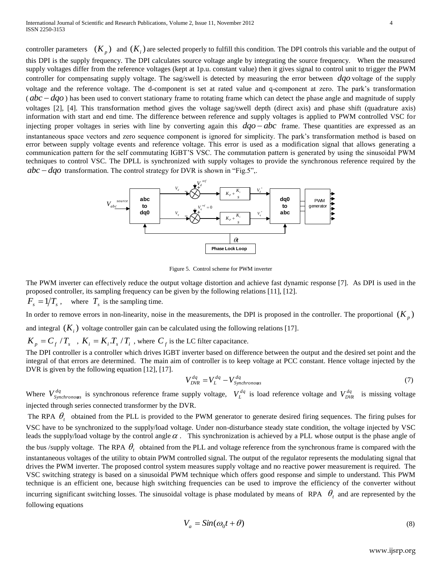controller parameters  $(K_p)$  and  $(K_i)$  are selected properly to fulfill this condition. The DPI controls this variable and the output of this DPI is the supply frequency. The DPI calculates source voltage angle by integrating the source frequency. When the measured supply voltages differ from the reference voltages (kept at 1p.u. constant value) then it gives signal to control unit to trigger the PWM controller for compensating supply voltage. The sag/swell is detected by measuring the error between *dqo* voltage of the supply voltage and the reference voltage. The d-component is set at rated value and q-component at zero. The park"s transformation  $(abc - dqo)$  has been used to convert stationary frame to rotating frame which can detect the phase angle and magnitude of supply voltages [2], [4]. This transformation method gives the voltage sag/swell depth (direct axis) and phase shift (quadrature axis) information with start and end time. The difference between reference and supply voltages is applied to PWM controlled VSC for injecting proper voltages in series with line by converting again this  $dqo - abc$  frame. These quantities are expressed as an instantaneous space vectors and zero sequence component is ignored for simplicity. The park"s transformation method is based on error between supply voltage events and reference voltage. This error is used as a modification signal that allows generating a communication pattern for the self commutating IGBT"S VSC. The commutation pattern is generated by using the sinusoidal PWM techniques to control VSC. The DPLL is synchronized with supply voltages to provide the synchronous reference required by the  $abc - dqo$  transformation. The control strategy for DVR is shown in "Fig.5",.



Figure 5. Control scheme for PWM inverter

The PWM inverter can effectively reduce the output voltage distortion and achieve fast dynamic response [7]. As DPI is used in the proposed controller, its sampling frequency can be given by the following relations [11], [12].

 $F_s = 1/T_s$ , where  $T_s$  is the sampling time.

In order to remove errors in non-linearity, noise in the measurements, the DPI is proposed in the controller. The proportional  $(K_p)$ 

and integral  $(K_i)$  voltage controller gain can be calculated using the following relations [17].

 $K_p = C_f / T_s$ ,  $K_i = K_i T_s / T_i$ , where  $C_f$  is the LC filter capacitance.

The DPI controller is a controller which drives IGBT inverter based on difference between the output and the desired set point and the integral of that errors are determined. The main aim of controller is to keep voltage at PCC constant. Hence voltage injected by the DVR is given by the following equation [12], [17].

$$
V_{DVR}^{dq} = V_L^{dq} - V_{Synchronous}^{dq}
$$
 (7)

Where  $V_{synchronous}^{dq}$  is synchronous reference frame supply voltage,  $V_L^{dq}$  is load reference voltage and  $V_{DVR}^{dq}$  is missing voltage injected through series connected transformer by the DVR.

The RPA  $\theta_t$  obtained from the PLL is provided to the PWM generator to generate desired firing sequences. The firing pulses for VSC have to be synchronized to the supply/load voltage. Under non-disturbance steady state condition, the voltage injected by VSC leads the supply/load voltage by the control angle  $\alpha$ . This synchronization is achieved by a PLL whose output is the phase angle of the bus /supply voltage. The RPA  $\theta_t$  obtained from the PLL and voltage reference from the synchronous frame is compared with the instantaneous voltages of the utility to obtain PWM controlled signal. The output of the regulator represents the modulating signal that drives the PWM inverter. The proposed control system measures supply voltage and no reactive power measurement is required. The VSC switching strategy is based on a sinusoidal PWM technique which offers good response and simple to understand. This PWM technique is an efficient one, because high switching frequencies can be used to improve the efficiency of the converter without incurring significant switching losses. The sinusoidal voltage is phase modulated by means of RPA  $\theta_t$  and are represented by the following equations

$$
V_a = \sin(\omega_0 t + \theta) \tag{8}
$$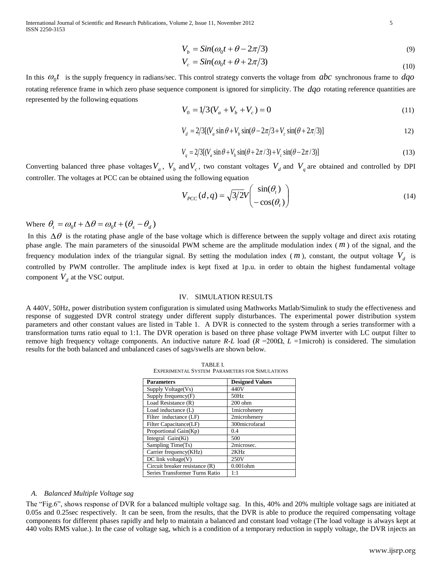International Journal of Scientific and Research Publications, Volume 2, Issue 11, November 2012 5 ISSN 2250-3153

$$
V_b = \sin(\omega_0 t + \theta - 2\pi/3) \tag{9}
$$

$$
V_c = \sin(\omega_0 t + \theta + 2\pi/3) \tag{10}
$$

In this  $\omega_0 t$  is the supply frequency in radians/sec. This control strategy converts the voltage from  $abc$  synchronous frame to  $dqo$ rotating reference frame in which zero phase sequence component is ignored for simplicity. The *dqo* rotating reference quantities are represented by the following equations

$$
V_0 = 1/3(V_a + V_b + V_c) = 0\tag{11}
$$

$$
V_d = 2/3[(V_a \sin \theta + V_b \sin(\theta - 2\pi/3 + V_c \sin(\theta + 2\pi/3))]
$$
 (12)

$$
V_q = 2/3[(V_a \sin \theta + V_b \sin(\theta + 2\pi/3) + V_c \sin(\theta - 2\pi/3)]
$$
\n(13)

Converting balanced three phase voltages  $V_a$ ,  $V_b$  and  $V_c$ , two constant voltages  $V_d$  and  $V_q$  are obtained and controlled by DPI controller. The voltages at PCC can be obtained using the following equation

$$
V_{PCC}(d,q) = \sqrt{3/2}V \begin{pmatrix} \sin(\theta_t) \\ -\cos(\theta_t) \end{pmatrix}
$$
 (14)

Where  $\theta_t = \omega_0 t + \Delta \theta = \omega_0 t + (\theta_s - \theta_d)$ 

In this  $\Delta\theta$  is the rotating phase angle of the base voltage which is difference between the supply voltage and direct axis rotating phase angle. The main parameters of the sinusoidal PWM scheme are the amplitude modulation index ( *m* ) of the signal, and the frequency modulation index of the triangular signal. By setting the modulation index ( $m$ ), constant, the output voltage  $V_d$  is controlled by PWM controller. The amplitude index is kept fixed at 1p.u. in order to obtain the highest fundamental voltage component  $V_d$  at the VSC output.

#### IV. SIMULATION RESULTS

A 440V, 50Hz, power distribution system configuration is simulated using Mathworks Matlab/Simulink to study the effectiveness and response of suggested DVR control strategy under different supply disturbances. The experimental power distribution system parameters and other constant values are listed in Table 1. A DVR is connected to the system through a series transformer with a transformation turns ratio equal to 1:1. The DVR operation is based on three phase voltage PWM inverter with LC output filter to remove high frequency voltage components. An inductive nature *R*-*L* load (*R* =200Ω, *L* =1microh) is considered. The simulation results for the both balanced and unbalanced cases of sags/swells are shown below.

TABLE I. EXPERIMENTAL SYSTEM PARAMETERS FOR SIMULATIONS

| <b>Parameters</b>              | <b>Designed Values</b> |
|--------------------------------|------------------------|
| Supply Voltage(Vs)             | 440V                   |
| Supply frequency $(F)$         | 50Hz                   |
| Load Resistance (R)            | $200$ ohm              |
| Load inductance (L)            | 1microhenery           |
| Filter inductance (LF)         | 2microhenery           |
| Filter Capacitance(LF)         | 300microfarad          |
| Proportional Gain(Kp)          | 0.4                    |
| Integral Gain(Ki)              | 500                    |
| Sampling Time(Ts)              | 2microsec.             |
| Carrier frequency(KHz)         | 2KHz                   |
| $DC$ link voltage $(V)$        | 250V                   |
| Circuit breaker resistance (R) | $0.001$ ohm            |
| Series Transformer Turns Ratio | 1:1                    |

#### *A. Balanced Multiple Voltage sag*

The "Fig.6", shows response of DVR for a balanced multiple voltage sag. In this, 40% and 20% multiple voltage sags are initiated at 0.05s and 0.25sec respectively. It can be seen, from the results, that the DVR is able to produce the required compensating voltage components for different phases rapidly and help to maintain a balanced and constant load voltage (The load voltage is always kept at 440 volts RMS value.). In the case of voltage sag, which is a condition of a temporary reduction in supply voltage, the DVR injects an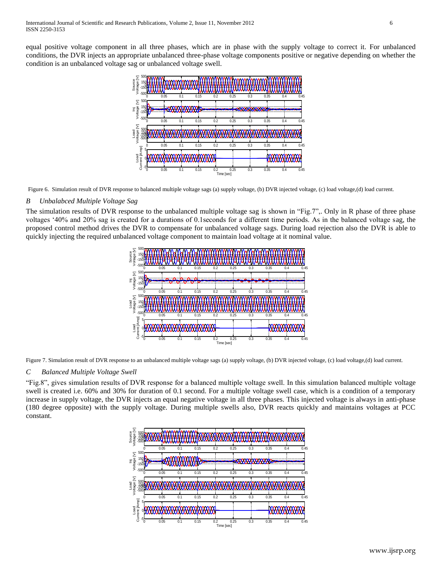equal positive voltage component in all three phases, which are in phase with the supply voltage to correct it. For unbalanced conditions, the DVR injects an appropriate unbalanced three-phase voltage components positive or negative depending on whether the condition is an unbalanced voltage sag or unbalanced voltage swell.



Figure 6. Simulation result of DVR response to balanced multiple voltage sags (a) supply voltage, (b) DVR injected voltage, (c) load voltage,(d) load current.

# *B Unbalabced Multiple Voltage Sag*

The simulation results of DVR response to the unbalanced multiple voltage sag is shown in "Fig.7",. Only in R phase of three phase voltages "40% and 20% sag is created for a durations of 0.1seconds for a different time periods. As in the balanced voltage sag, the proposed control method drives the DVR to compensate for unbalanced voltage sags. During load rejection also the DVR is able to quickly injecting the required unbalanced voltage component to maintain load voltage at it nominal value.



Figure 7. Simulation result of DVR response to an unbalanced multiple voltage sags (a) supply voltage, (b) DVR injected voltage, (c) load voltage,(d) load current.

### *C Balanced Multiple Voltage Swell*

"Fig.8", gives simulation results of DVR response for a balanced multiple voltage swell. In this simulation balanced multiple voltage swell is created i.e. 60% and 30% for duration of 0.1 second. For a multiple voltage swell case, which is a condition of a temporary increase in supply voltage, the DVR injects an equal negative voltage in all three phases. This injected voltage is always in anti-phase (180 degree opposite) with the supply voltage. During multiple swells also, DVR reacts quickly and maintains voltages at PCC constant.

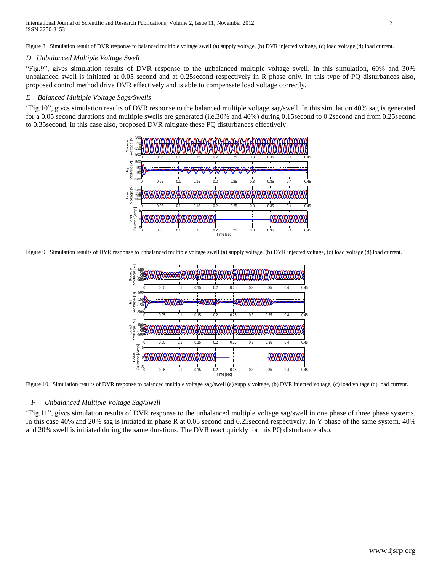Figure 8. Simulation result of DVR response to balanced multiple voltage swell (a) supply voltage, (b) DVR injected voltage, (c) load voltage,(d) load current.

### *D Unbalanced Multiple Voltage Swell*

"Fig.9", gives **s**imulation results of DVR response to the unbalanced multiple voltage swell. In this simulation, 60% and 30% unbalanced swell is initiated at 0.05 second and at 0.25second respectively in R phase only. In this type of PQ disturbances also, proposed control method drive DVR effectively and is able to compensate load voltage correctly.

# *E Balanced Multiple Voltage Sags/Swells*

"Fig.10", gives **s**imulation results of DVR response to the balanced multiple voltage sag/swell. In this simulation 40% sag is generated for a 0.05 second durations and multiple swells are generated (i.e.30% and 40%) during 0.15second to 0.2second and from 0.25second to 0.35second. In this case also, proposed DVR mitigate these PQ disturbances effectively.



Figure 9. Simulation results of DVR response to unbalanced multiple voltage swell (a) supply voltage, (b) DVR injected voltage, (c) load voltage,(d) load current.



Figure 10. Simulation results of DVR response to balanced multiple voltage sag/swell (a) supply voltage, (b) DVR injected voltage, (c) load voltage,(d) load current.

# *F Unbalanced Multiple Voltage Sag/Swell*

"Fig.11", gives **s**imulation results of DVR response to the unbalanced multiple voltage sag/swell in one phase of three phase systems. In this case 40% and 20% sag is initiated in phase R at 0.05 second and 0.25second respectively. In Y phase of the same system, 40% and 20% swell is initiated during the same durations. The DVR react quickly for this PQ disturbance also.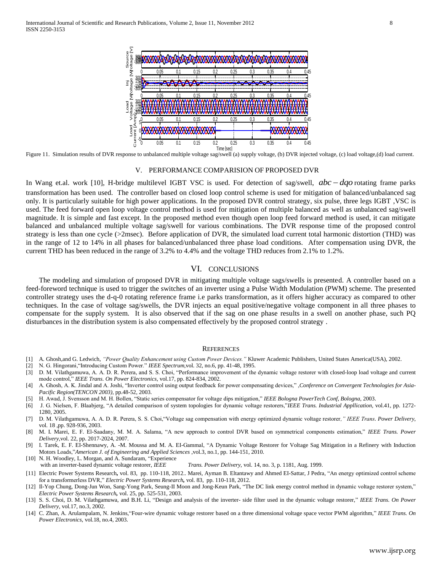

Figure 11. Simulation results of DVR response to unbalanced multiple voltage sag/swell (a) supply voltage, (b) DVR injected voltage, (c) load voltage,(d) load current.

#### V. PERFORMANCE COMPARISION OF PROPOSED DVR

In Wang et.al. work [10], H-bridge multilevel IGBT VSC is used. For detection of sag/swell,  $abc - dqo$  rotating frame parks transformation has been used. The controller based on closed loop control scheme is used for mitigation of balanced/unbalanced sag only. It is particularly suitable for high power applications. In the proposed DVR control strategy, six pulse, three legs IGBT ,VSC is used. The feed forward open loop voltage control method is used for mitigation of multiple balanced as well as unbalanced sag/swell magnitude. It is simple and fast except. In the proposed method even though open loop feed forward method is used, it can mitigate balanced and unbalanced multiple voltage sag/swell for various combinations. The DVR response time of the proposed control strategy is less than one cycle (>2msec). Before application of DVR, the simulated load current total harmonic distortion (THD) was in the range of 12 to 14% in all phases for balanced/unbalanced three phase load conditions. After compensation using DVR, the current THD has been reduced in the range of 3.2% to 4.4% and the voltage THD reduces from 2.1% to 1.2%.

#### VI. CONCLUSIONS

 The modeling and simulation of proposed DVR in mitigating multiple voltage sags/swells is presented. A controller based on a feed-foreword technique is used to trigger the switches of an inverter using a Pulse Width Modulation (PWM) scheme. The presented controller strategy uses the d-q-0 rotating reference frame i.e parks transformation, as it offers higher accuracy as compared to other techniques. In the case of voltage sag/swells, the DVR injects an equal positive/negative voltage component in all three phases to compensate for the supply system. It is also observed that if the sag on one phase results in a swell on another phase, such PQ disturbances in the distribution system is also compensated effectively by the proposed control strategy .

#### **REFERENCES**

- [1] A. Ghosh,and G. Ledwich, *"Power Quality Enhancement using Custom Power Devices."* Kluwer Academic Publishers, United States America(USA), 2002.
- [2] N. G. Hingorani,"Introducing Custom Power." *IEEE Spectrum*,vol. 32, no.6, pp. 41-48, 1995.
- [3] D. M. Vilathgamuwa, A. A. D. R. Perera, and S. S. Choi, "Performance improvement of the dynamic voltage restorer with closed-loop load voltage and current mode control," *IEEE Trans. On Power Electronics,* vol.17, pp. 824-834, 2002.
- [4] A. Ghosh, A. K. Jindal and A. Joshi, "Inverter control using output feedback for power compensating devices," ,*Conference on Convergent Technologies for Asia-Pacific Region(TENCON 2003),* pp.48-52, 2003.
- [5] H. Awad, J. Svensson and M. H. Bollen, "Static series compensator for voltage dips mitigation," *IEEE Bologna PowerTech Conf, Bologna,* 2003.
- [6] J. G. Nielsen, F. Blaabjerg, "A detailed comparison of system topologies for dynamic voltage restorers,"*IEEE Trans. Industrial Appllication,* vol.41, pp. 1272- 1280, 2005.
- [7] D. M. Vilathgamuwa, A. A. D. R. Perera, S. S. Choi,"Voltage sag compensation with energy optimized dynamic voltage restorer*," IEEE Trans. Power Delivery,* vol. 18 ,pp. 928-936, 2003.
- [8] M. I. Marei, E. F. El-Saadany, M. M. A. Salama, "A new approach to control DVR based on symmetrical components estimation," *IEEE Trans. Power Delivery*,vol. 22, pp. 2017-2024, 2007.
- [9] I. Tarek, E. F. EI-Shennawy, A. -M. Moussa and M. A. EI-Gammal, "A Dynamic Voltage Restorer for Voltage Sag Mitigation in a Refinery with Induction Motors Loads,"*American J. of Engineering and Applied Sciences* ,vol.3, no.1, pp. 144-151, 2010.
- [10] N. H. Woodley, L. Morgan, and A. Sundaram, "Experience
- with an inverter-based dynamic voltage restorer, *IEEE Trans. Power Delivery*, vol. 14, no. 3, p. 1181, Aug. 1999.
- [11] Electric Power Systems Research*,* vol. 83, pp. 110-118, 2012.. Marei, Ayman B. Eltantawy and Ahmed EI-Sattar, J Pedra, "An energy optimized control scheme for a transformerless DVR," *Electric Power Systems Research,* vol. 83, pp. 110-118, 2012.
- [12] Il-Yop Chung, Dong-Jun Won, Sang-Yong Park, Seung-II Moon and Jong-Keun Park, "The DC link energy control method in dynamic voltage restorer system," *Electric Power Systems Research,* vol. 25, pp. 525-531, 2003.
- [13] S. S. Choi, D. M. Vilathgamuwa, and B.H. Li, "Design and analysis of the inverter- side filter used in the dynamic voltage restorer," *IEEE Trans. On Power Delivery,* vol.17, no.3, 2002.
- [14] C. Zhan, A. Arulampalam, N. Jenkins,"Four-wire dynamic voltage restorer based on a three dimensional voltage space vector PWM algorithm," *IEEE Trans. On Power Electronics,* vol.18, no.4, 2003.